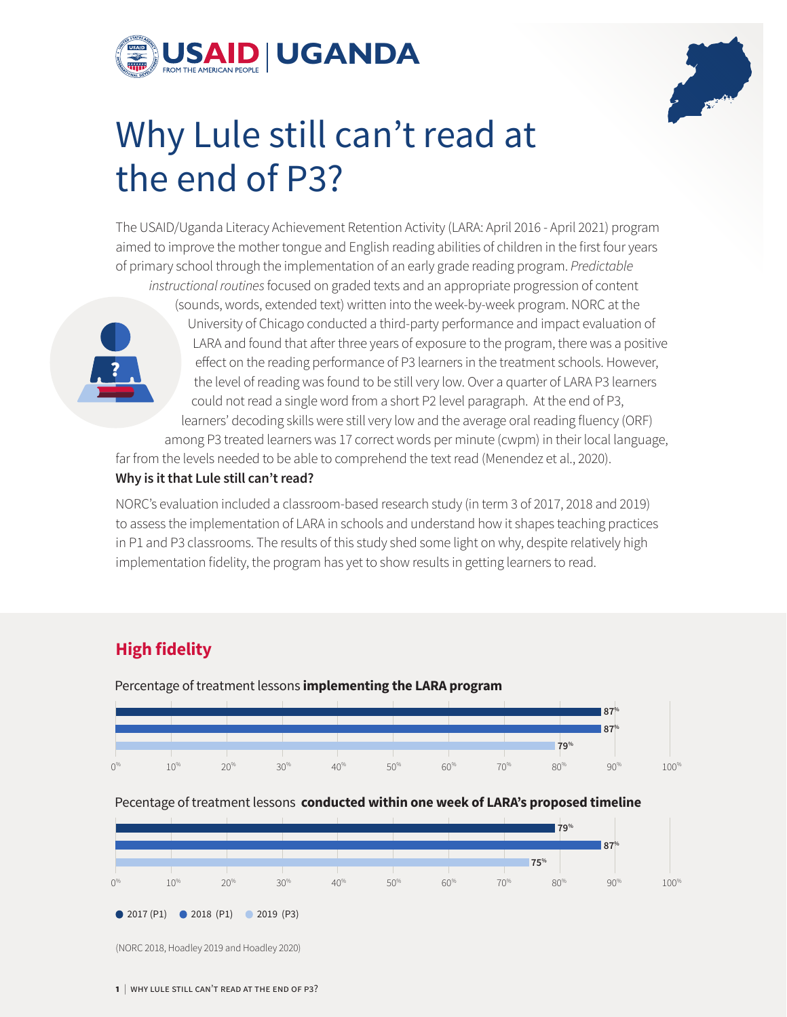



# Why Lule still can't read at the end of P3?

The USAID/Uganda Literacy Achievement Retention Activity (LARA: April 2016 - April 2021) program aimed to improve the mother tongue and English reading abilities of children in the first four years of primary school through the implementation of an early grade reading program. *Predictable* 



*instructional routines* focused on graded texts and an appropriate progression of content (sounds, words, extended text) written into the week-by-week program. NORC at the University of Chicago conducted a third-party performance and impact evaluation of LARA and found that after three years of exposure to the program, there was a positive effect on the reading performance of P3 learners in the treatment schools. However, the level of reading was found to be still very low. Over a quarter of LARA P3 learners could not read a single word from a short P2 level paragraph. At the end of P3, learners' decoding skills were still very low and the average oral reading fluency (ORF) among P3 treated learners was 17 correct words per minute (cwpm) in their local language,

far from the levels needed to be able to comprehend the text read (Menendez et al., 2020). **Why is it that Lule still can't read?** 

NORC's evaluation included a classroom-based research study (in term 3 of 2017, 2018 and 2019) to assess the implementation of LARA in schools and understand how it shapes teaching practices in P1 and P3 classrooms. The results of this study shed some light on why, despite relatively high implementation fidelity, the program has yet to show results in getting learners to read.

## **High fidelity**



Percentage of treatment lessons **implementing the LARA program**

#### Pecentage of treatment lessons **conducted within one week of LARA's proposed timeline**



(NORC 2018, Hoadley 2019 and Hoadley 2020)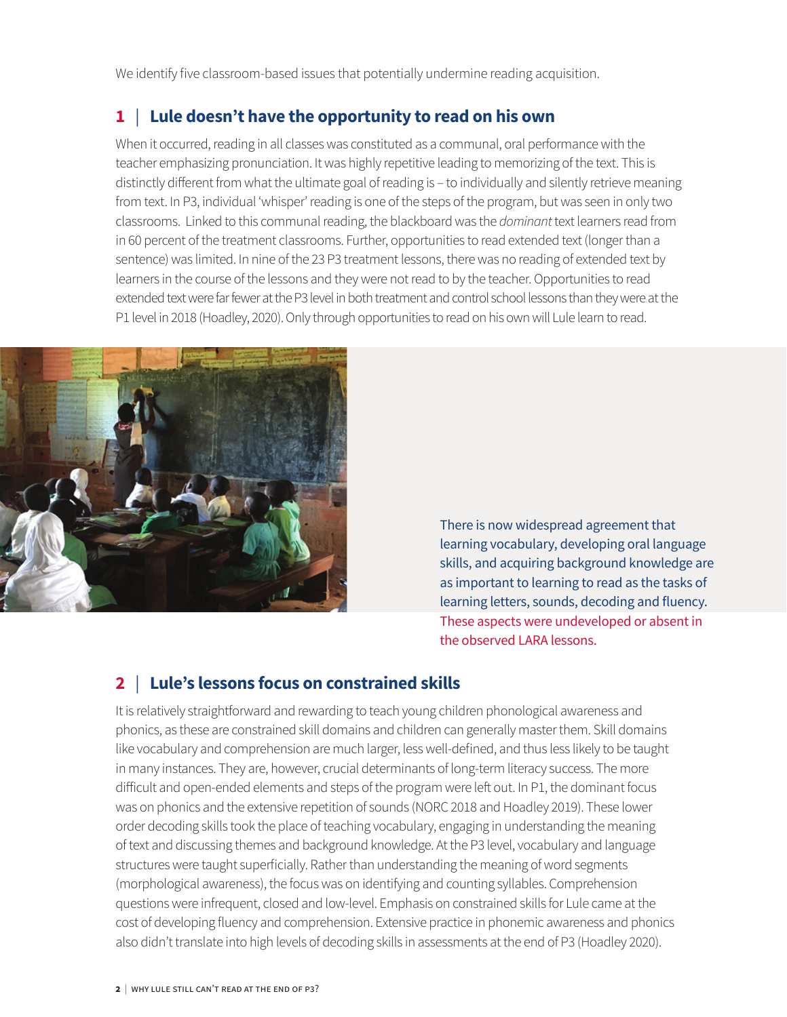We identify five classroom-based issues that potentially undermine reading acquisition.

## **1** | **Lule doesn't have the opportunity to read on his own**

When it occurred, reading in all classes was constituted as a communal, oral performance with the teacher emphasizing pronunciation. It was highly repetitive leading to memorizing of the text. This is distinctly different from what the ultimate goal of reading is – to individually and silently retrieve meaning from text. In P3, individual 'whisper' reading is one of the steps of the program, but was seen in only two classrooms. Linked to this communal reading, the blackboard was the *dominant* text learners read from in 60 percent of the treatment classrooms. Further, opportunities to read extended text (longer than a sentence) was limited. In nine of the 23 P3 treatment lessons, there was no reading of extended text by learners in the course of the lessons and they were not read to by the teacher. Opportunities to read extended text were far fewer at the P3 level in both treatment and control school lessons than they were at the P1 level in 2018 (Hoadley, 2020). Only through opportunities to read on his own will Lule learn to read.



There is now widespread agreement that learning vocabulary, developing oral language skills, and acquiring background knowledge are as important to learning to read as the tasks of learning letters, sounds, decoding and fluency. These aspects were undeveloped or absent in the observed LARA lessons.

## **2** | **Lule's lessons focus on constrained skills**

It is relatively straightforward and rewarding to teach young children phonological awareness and phonics, as these are constrained skill domains and children can generally master them. Skill domains like vocabulary and comprehension are much larger, less well-defined, and thus less likely to be taught in many instances. They are, however, crucial determinants of long-term literacy success. The more difficult and open-ended elements and steps of the program were left out. In P1, the dominant focus was on phonics and the extensive repetition of sounds (NORC 2018 and Hoadley 2019). These lower order decoding skills took the place of teaching vocabulary, engaging in understanding the meaning of text and discussing themes and background knowledge. At the P3 level, vocabulary and language structures were taught superficially. Rather than understanding the meaning of word segments (morphological awareness), the focus was on identifying and counting syllables. Comprehension questions were infrequent, closed and low-level. Emphasis on constrained skills for Lule came at the cost of developing fluency and comprehension. Extensive practice in phonemic awareness and phonics also didn't translate into high levels of decoding skills in assessments at the end of P3 (Hoadley 2020).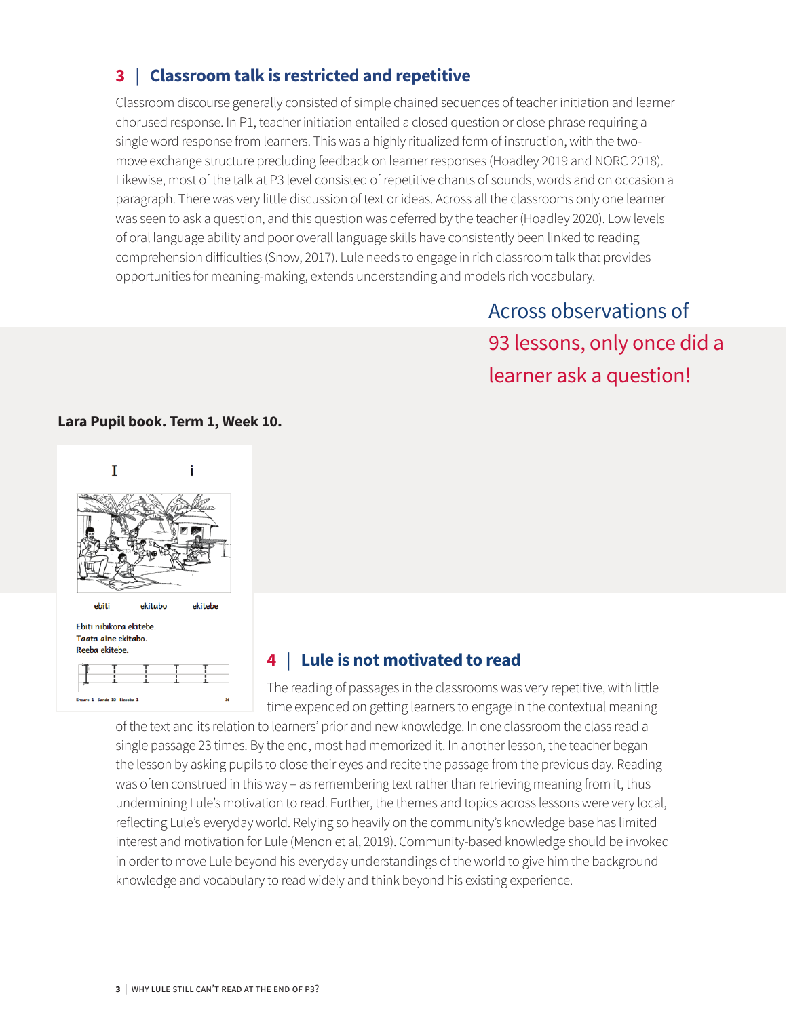## **3** | **Classroom talk is restricted and repetitive**

Classroom discourse generally consisted of simple chained sequences of teacher initiation and learner chorused response. In P1, teacher initiation entailed a closed question or close phrase requiring a single word response from learners. This was a highly ritualized form of instruction, with the twomove exchange structure precluding feedback on learner responses (Hoadley 2019 and NORC 2018). Likewise, most of the talk at P3 level consisted of repetitive chants of sounds, words and on occasion a paragraph. There was very little discussion of text or ideas. Across all the classrooms only one learner was seen to ask a question, and this question was deferred by the teacher (Hoadley 2020). Low levels of oral language ability and poor overall language skills have consistently been linked to reading comprehension difficulties (Snow, 2017). Lule needs to engage in rich classroom talk that provides opportunities for meaning-making, extends understanding and models rich vocabulary.

> Across observations of 93 lessons, only once did a learner ask a question!

#### **Lara Pupil book. Term 1, Week 10.**



## **4** | **Lule is not motivated to read**

The reading of passages in the classrooms was very repetitive, with little time expended on getting learners to engage in the contextual meaning

of the text and its relation to learners' prior and new knowledge. In one classroom the class read a single passage 23 times. By the end, most had memorized it. In another lesson, the teacher began the lesson by asking pupils to close their eyes and recite the passage from the previous day. Reading was often construed in this way – as remembering text rather than retrieving meaning from it, thus undermining Lule's motivation to read. Further, the themes and topics across lessons were very local, reflecting Lule's everyday world. Relying so heavily on the community's knowledge base has limited interest and motivation for Lule (Menon et al, 2019). Community-based knowledge should be invoked in order to move Lule beyond his everyday understandings of the world to give him the background knowledge and vocabulary to read widely and think beyond his existing experience.